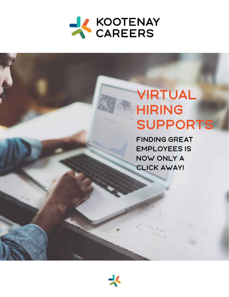

# VIRTUAL HIRING SUPPORTS

FINDing great employees is now only a click away!

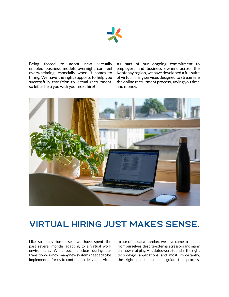

Being forced to adopt new, virtually enabled business models overnight can feel overwhelming, especially when it comes to hiring. We have the right supports to help you successfully transition to virtual recruitment, so let us help you with your next hire!

As part of our ongoing commitment to employers and business owners across the Kootenay region, we have developed a full suite of virtual hiring services designed to streamline the online recruitment process, saving you time and money.



# VIRTUAL HIRING JUST MAKES SENSE.

Like so many businesses, we have spent the past several months adapting to a virtual work environment. What became clear during our transition was how many new systems needed to be implemented for us to continue to deliver services

to our clients at a standard we have come to expect from ourselves, despite external stressors and many unknowns at play. Antidotes were found in the right technology, applications and most importantly, the right people to help guide the process.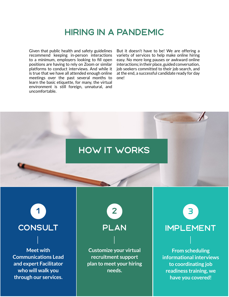# HIRING IN A PANDEMIC

Given that public health and safety guidelines recommend keeping in-person interactions to a minimum, employers looking to fill open positions are having to rely on Zoom or similar platforms to conduct interviews. And while it is true that we have all attended enough online meetings over the past several months to learn the basic etiquette, for many, the virtual environment is still foreign, unnatural, and uncomfortable.

But it doesn't have to be! We are offering a variety of services to help make online hiring easy. No more long pauses or awkward online interactions; in their place, guided conversation, job seekers committed to their job search, and at the end, a successful candidate ready for day one!

# how it works

**Meet with Communications Lead and expert Facilitator who will walk you through our services.**

1 2 3

**Customize your virtual recruitment support plan to meet your hiring needs.**

CONSULT PLAN IMPLEMENT

**From scheduling informational interviews to coordinating job readiness training, we have you covered!**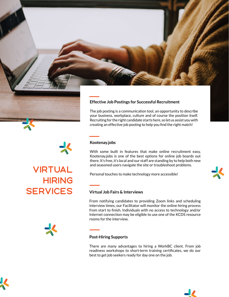



The job posting is a communication tool, an opportunity to describe your business, workplace, culture and of course the position itself. Recruiting for the right candidate starts here, so let us assist you with creating an effective job posting to help you find the right match!

### **Kootenay.jobs**

With some built in features that make online recruitment easy, Kootenay.jobs is one of the best options for online job boards out there. It's free, it's local and our staff are standing by to help both new

From notifying candidates to providing Zoom links and scheduling interview times, our Facilitator will monitor the online hiring process from start to finish. Individuals with no access to technology and/or Internet connection may be eligible to use one of the KCDS resource rooms for the interview.

#### **Post-Hiring Supports**

There are many advantages to hiring a WorkBC client. From job readiness workshops to short-term training certificates, we do our best to get job seekers ready for day one on the job.







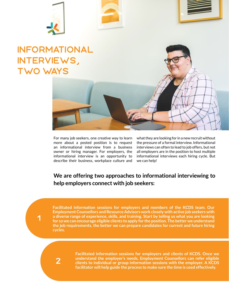

# Informational interviews, two ways



what they are looking for in a new recruit without the pressure of a formal interview. Informational interviews can often to lead to job offers, but not all employers are in the position to host multiple informational interviews each hiring cycle. But we can help!

### **We are offering two approaches to informational interviewing to help employers connect with job seekers:**

**Facilitated information sessions for employers and members of the KCDS team. Our Employment Counsellors and Resource Advisors work closely with active job seekers with a diverse range of experience, skills, and training. Start by telling us what you are looking for so we can encourage eligible clients to apply for the position. The better we understand the job requirements, the better we can prepare candidates for current and future hiring cycles.**

2

1

**Facilitated information sessions for employers and clients of KCDS. Once we understand the employer's needs, Employment Counsellors can refer eligible clients to individual or group information sessions with the employer. A KCDS facilitator will help guide the process to make sure the time is used effectively.**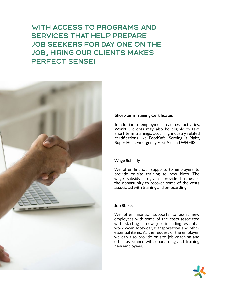## With access to programs and services that help prepare job seekers for day one on the job, hiring our clients makes perfect sense!



### **Short-term Training Certificates**

In addition to employment readiness activities, WorkBC clients may also be eligible to take short term trainings, acquiring industry related certifications like FoodSafe, Serving it Right, Super Host, Emergency First Aid and WHMIS.

#### **Wage Subsidy**

We offer financial supports to employers to provide on-site training to new hires. The wage subsidy programs provide businesses the opportunity to recover some of the costs associated with training and on-boarding.

#### **Job Starts**

We offer financial supports to assist new employees with some of the costs associated with starting a new job, including essential work wear, footwear, transportation and other essential items. At the request of the employer, we can also provide on-site job coaching and other assistance with onboarding and training new employees.